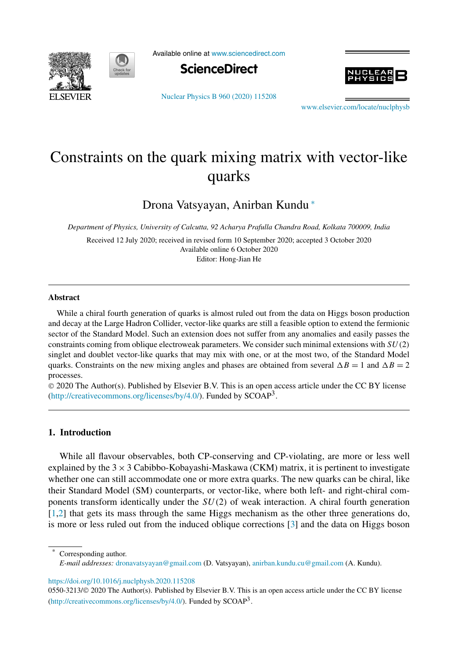



Available online at www.sciencedirect.com



Nuclear Physics B 960 (2020) 115208

www.elsevier.com/locate/nuclphysb

# Constraints on the quark mixing matrix with vector-like quarks

Drona Vatsyayan, Anirban Kundu <sup>∗</sup>

*Department of Physics, University of Calcutta, 92 Acharya Prafulla Chandra Road, Kolkata 700009, India*

Received 12 July 2020; received in revised form 10 September 2020; accepted 3 October 2020 Available online 6 October 2020 Editor: Hong-Jian He

#### **Abstract**

While a chiral fourth generation of quarks is almost ruled out from the data on Higgs boson production and decay at the Large Hadron Collider, vector-like quarks are still a feasible option to extend the fermionic sector of the Standard Model. Such an extension does not suffer from any anomalies and easily passes the constraints coming from oblique electroweak parameters. We consider such minimal extensions with  $SU(2)$ singlet and doublet vector-like quarks that may mix with one, or at the most two, of the Standard Model quarks. Constraints on the new mixing angles and phases are obtained from several  $\Delta B = 1$  and  $\Delta B = 2$ processes.

 2020 The Author(s). Published by Elsevier B.V. This is an open access article under the CC BY license (http://creativecommons.org/licenses/by/4.0/). Funded by SCOAP<sup>3</sup>.

### **1. Introduction**

While all flavour observables, both CP-conserving and CP-violating, are more or less well explained by the  $3 \times 3$  Cabibbo-Kobayashi-Maskawa (CKM) matrix, it is pertinent to investigate whether one can still accommodate one or more extra quarks. The new quarks can be chiral, like their Standard Model (SM) counterparts, or vector-like, where both left- and right-chiral components transform identically under the  $SU(2)$  of weak interaction. A chiral fourth generation [1,2] that gets its mass through the same Higgs mechanism as the other three generations do, is more or less ruled out from the induced oblique corrections [3] and the data on Higgs boson

Corresponding author.

*E-mail addresses:* dronavatsyayan@gmail.com (D. Vatsyayan), anirban.kundu.cu@gmail.com (A. Kundu).

https://doi.org/10.1016/j.nuclphysb.2020.115208

<sup>0550-3213/© 2020</sup> The Author(s). Published by Elsevier B.V. This is an open access article under the CC BY license (http://creativecommons.org/licenses/by/4.0/). Funded by SCOAP<sup>3</sup>.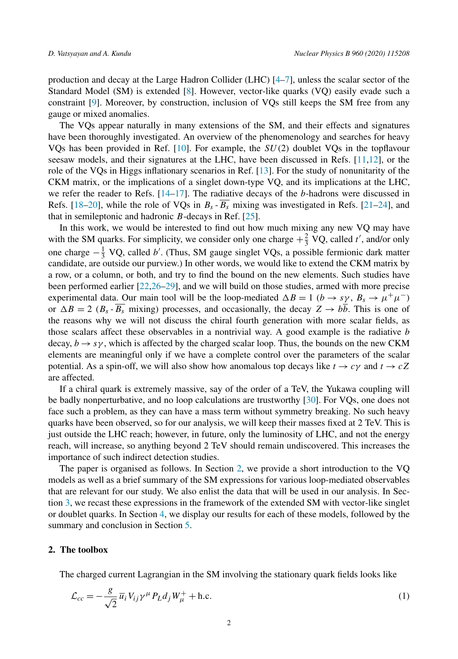production and decay at the Large Hadron Collider (LHC) [4–7], unless the scalar sector of the Standard Model (SM) is extended [8]. However, vector-like quarks (VQ) easily evade such a constraint [9]. Moreover, by construction, inclusion of VQs still keeps the SM free from any gauge or mixed anomalies.

The VQs appear naturally in many extensions of the SM, and their effects and signatures have been thoroughly investigated. An overview of the phenomenology and searches for heavy VQs has been provided in Ref.  $[10]$ . For example, the  $SU(2)$  doublet VQs in the topflavour seesaw models, and their signatures at the LHC, have been discussed in Refs. [11,12], or the role of the VQs in Higgs inflationary scenarios in Ref. [13]. For the study of nonunitarity of the CKM matrix, or the implications of a singlet down-type VQ, and its implications at the LHC, we refer the reader to Refs. [14–17]. The radiative decays of the b-hadrons were discussed in Refs. [18–20], while the role of VQs in  $B_s$  -  $\overline{B_s}$  mixing was investigated in Refs. [21–24], and that in semileptonic and hadronic  $B$ -decays in Ref.  $[25]$ .

In this work, we would be interested to find out how much mixing any new VQ may have with the SM quarks. For simplicity, we consider only one charge  $+\frac{2}{3}$  VQ, called t', and/or only one charge  $-\frac{1}{3}$  VQ, called b'. (Thus, SM gauge singlet VQs, a possible fermionic dark matter candidate, are outside our purview.) In other words, we would like to extend the CKM matrix by a row, or a column, or both, and try to find the bound on the new elements. Such studies have been performed earlier [22,26–29], and we will build on those studies, armed with more precise experimental data. Our main tool will be the loop-mediated  $\Delta B = 1$  ( $b \rightarrow sy$ ,  $B_s \rightarrow \mu^+\mu^-$ ) or  $\Delta B = 2$  ( $B_s - B_s$  mixing) processes, and occasionally, the decay  $Z \rightarrow bb$ . This is one of the reasons why we will not discuss the chiral fourth generation with more scalar fields, as those scalars affect these observables in a nontrivial way. A good example is the radiative  $b$ decay,  $b \rightarrow s\gamma$ , which is affected by the charged scalar loop. Thus, the bounds on the new CKM elements are meaningful only if we have a complete control over the parameters of the scalar potential. As a spin-off, we will also show how anomalous top decays like  $t \to c\gamma$  and  $t \to cZ$ are affected.

If a chiral quark is extremely massive, say of the order of a TeV, the Yukawa coupling will be badly nonperturbative, and no loop calculations are trustworthy [30]. For VQs, one does not face such a problem, as they can have a mass term without symmetry breaking. No such heavy quarks have been observed, so for our analysis, we will keep their masses fixed at 2 TeV. This is just outside the LHC reach; however, in future, only the luminosity of LHC, and not the energy reach, will increase, so anything beyond 2 TeV should remain undiscovered. This increases the importance of such indirect detection studies.

The paper is organised as follows. In Section 2, we provide a short introduction to the VQ models as well as a brief summary of the SM expressions for various loop-mediated observables that are relevant for our study. We also enlist the data that will be used in our analysis. In Section 3, we recast these expressions in the framework of the extended SM with vector-like singlet or doublet quarks. In Section 4, we display our results for each of these models, followed by the summary and conclusion in Section 5.

#### **2. The toolbox**

The charged current Lagrangian in the SM involving the stationary quark fields looks like

$$
\mathcal{L}_{cc} = -\frac{g}{\sqrt{2}} \overline{u}_i V_{ij} \gamma^\mu P_L d_j W_\mu^+ + \text{h.c.}
$$
\n(1)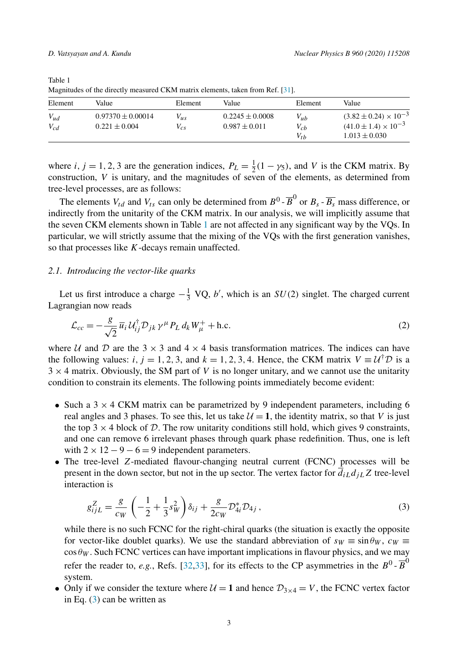| . .       |                       |          |                     |          |                                  |
|-----------|-----------------------|----------|---------------------|----------|----------------------------------|
| Element   | Value                 | Element  | Value               | Element  | Value                            |
| $V_{ud}$  | $0.97370 \pm 0.00014$ | $V_{us}$ | $0.2245 \pm 0.0008$ | $V_{ub}$ | $(3.82 \pm 0.24) \times 10^{-3}$ |
| $V_{c,d}$ | $0.221 \pm 0.004$     | $V_{cs}$ | $0.987 \pm 0.011$   | $V_{cb}$ | $(41.0 \pm 1.4) \times 10^{-3}$  |
|           |                       |          |                     | $V_{th}$ | $1.013 \pm 0.030$                |

Table 1 Magnitudes of the directly measured CKM matrix elements, taken from Ref. [31].

where *i*, *j* = 1, 2, 3 are the generation indices,  $P_L = \frac{1}{2}(1 - \gamma_5)$ , and *V* is the CKM matrix. By construction,  $V$  is unitary, and the magnitudes of seven of the elements, as determined from tree-level processes, are as follows:

The elements  $V_{td}$  and  $V_{ts}$  can only be determined from  $B^0$  -  $\overline{B}^0$  or  $B_s$  -  $\overline{B_s}$  mass difference, or indirectly from the unitarity of the CKM matrix. In our analysis, we will implicitly assume that the seven CKM elements shown in Table 1 are not affected in any significant way by the VQs. In particular, we will strictly assume that the mixing of the VQs with the first generation vanishes, so that processes like K-decays remain unaffected.

### *2.1. Introducing the vector-like quarks*

Let us first introduce a charge  $-\frac{1}{3}$  VQ, b', which is an  $SU(2)$  singlet. The charged current Lagrangian now reads

$$
\mathcal{L}_{cc} = -\frac{g}{\sqrt{2}} \overline{u}_i U_{ij}^\dagger \mathcal{D}_{jk} \gamma^\mu P_L d_k W_\mu^+ + \text{h.c.}
$$
\n(2)

where U and D are the  $3 \times 3$  and  $4 \times 4$  basis transformation matrices. The indices can have the following values: *i*, *j* = 1, 2, 3, and *k* = 1, 2, 3, 4. Hence, the CKM matrix  $V = U^{\dagger}D$  is a  $3 \times 4$  matrix. Obviously, the SM part of V is no longer unitary, and we cannot use the unitarity condition to constrain its elements. The following points immediately become evident:

- Such a  $3 \times 4$  CKM matrix can be parametrized by 9 independent parameters, including 6 real angles and 3 phases. To see this, let us take  $\mathcal{U} = 1$ , the identity matrix, so that V is just the top 3  $\times$  4 block of D. The row unitarity conditions still hold, which gives 9 constraints, and one can remove 6 irrelevant phases through quark phase redefinition. Thus, one is left with  $2 \times 12 - 9 - 6 = 9$  independent parameters.
- The tree-level Z-mediated flavour-changing neutral current (FCNC) processes will be present in the down sector, but not in the up sector. The vertex factor for  $\overline{d}_{iL}d_{jL}Z$  tree-level interaction is

$$
g_{ijL}^Z = \frac{g}{c_W} \left( -\frac{1}{2} + \frac{1}{3} s_W^2 \right) \delta_{ij} + \frac{g}{2c_W} \mathcal{D}_{4i}^* \mathcal{D}_{4j} \,, \tag{3}
$$

while there is no such FCNC for the right-chiral quarks (the situation is exactly the opposite for vector-like doublet quarks). We use the standard abbreviation of  $s_W \equiv \sin \theta_W$ ,  $c_W \equiv$  $\cos \theta_W$ . Such FCNC vertices can have important implications in flavour physics, and we may refer the reader to, *e.g.*, Refs. [32,33], for its effects to the CP asymmetries in the  $B^0$ - $\overline{B}^0$ system.

• Only if we consider the texture where  $U = 1$  and hence  $\mathcal{D}_{3 \times 4} = V$ , the FCNC vertex factor in Eq. (3) can be written as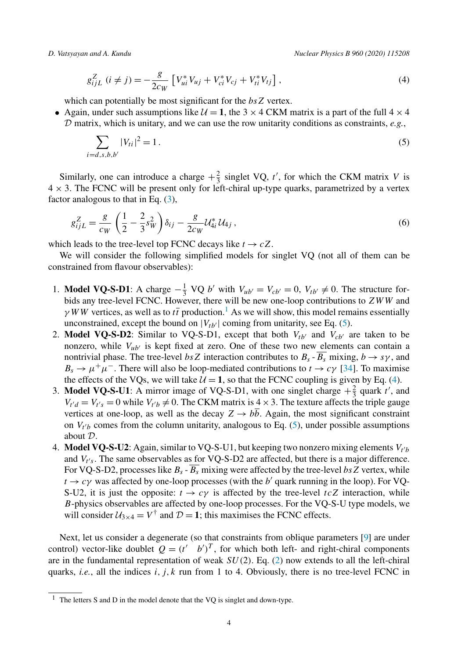$$
g_{ijL}^{Z} \ (i \neq j) = -\frac{g}{2c_W} \left[ V_{ui}^{*} V_{uj} + V_{ci}^{*} V_{cj} + V_{ti}^{*} V_{tj} \right], \tag{4}
$$

which can potentially be most significant for the  $bsZ$  vertex.

• Again, under such assumptions like  $\mathcal{U} = 1$ , the 3  $\times$  4 CKM matrix is a part of the full 4  $\times$  4 D matrix, which is unitary, and we can use the row unitarity conditions as constraints, *e.g.*,

$$
\sum_{i=d,s,b,b'} |V_{ti}|^2 = 1.
$$
\n(5)

Similarly, one can introduce a charge  $+\frac{2}{3}$  singlet VQ, t', for which the CKM matrix V is  $4 \times 3$ . The FCNC will be present only for left-chiral up-type quarks, parametrized by a vertex factor analogous to that in Eq.  $(3)$ ,

$$
g_{ijL}^Z = \frac{g}{c_W} \left( \frac{1}{2} - \frac{2}{3} s_W^2 \right) \delta_{ij} - \frac{g}{2c_W} \mathcal{U}_{4i}^* \mathcal{U}_{4j} \,, \tag{6}
$$

which leads to the tree-level top FCNC decays like  $t \to cZ$ .

We will consider the following simplified models for singlet VQ (not all of them can be constrained from flavour observables):

- 1. **Model VQ-S-D1**: A charge  $-\frac{1}{3}$  VQ b' with  $V_{ub'} = V_{cb'} = 0$ ,  $V_{tb'} \neq 0$ . The structure forbids any tree-level FCNC. However, there will be new one-loop contributions to  $ZWW$  and  $\gamma$  WW vertices, as well as to  $t\bar{t}$  production.<sup>1</sup> As we will show, this model remains essentially unconstrained, except the bound on  $|V_{tb'}|$  coming from unitarity, see Eq. (5).
- 2. **Model VQ-S-D2**: Similar to VQ-S-D1, except that both  $V_{tb'}$  and  $V_{cb'}$  are taken to be nonzero, while  $V_{\mu\nu}$  is kept fixed at zero. One of these two new elements can contain a nontrivial phase. The tree-level bsZ interaction contributes to  $B_s$ - $\overline{B_s}$  mixing,  $b \rightarrow s\gamma$ , and  $B_s \to \mu^+\mu^-$ . There will also be loop-mediated contributions to  $t \to c\gamma$  [34]. To maximise the effects of the VQs, we will take  $U = 1$ , so that the FCNC coupling is given by Eq. (4).
- 3. **Model VQ-S-U1**: A mirror image of VQ-S-D1, with one singlet charge  $+\frac{2}{3}$  quark t', and  $V_{t'd} = V_{t's} = 0$  while  $V_{t'b} \neq 0$ . The CKM matrix is  $4 \times 3$ . The texture affects the triple gauge vertices at one-loop, as well as the decay  $Z \rightarrow b\overline{b}$ . Again, the most significant constraint on  $V_{t'b}$  comes from the column unitarity, analogous to Eq. (5), under possible assumptions about D.
- 4. **Model VQ-S-U2**: Again, similar to VQ-S-U1, but keeping two nonzero mixing elements  $V_{t'b}$ and  $V_{t's}$ . The same observables as for VQ-S-D2 are affected, but there is a major difference. For VQ-S-D2, processes like  $B_s$  -  $\overline{B_s}$  mixing were affected by the tree-level bs Z vertex, while  $t \to c\gamma$  was affected by one-loop processes (with the b' quark running in the loop). For VQ-S-U2, it is just the opposite:  $t \to c\gamma$  is affected by the tree-level  $tcZ$  interaction, while B-physics observables are affected by one-loop processes. For the VQ-S-U type models, we will consider  $U_{3\times 4} = V^{\dagger}$  and  $D = 1$ ; this maximises the FCNC effects.

Next, let us consider a degenerate (so that constraints from oblique parameters [9] are under control) vector-like doublet  $Q = (t' \quad b')^T$ , for which both left- and right-chiral components are in the fundamental representation of weak  $SU(2)$ . Eq. (2) now extends to all the left-chiral quarks, *i.e.*, all the indices *i, j, k* run from 1 to 4. Obviously, there is no tree-level FCNC in

<sup>1</sup> The letters S and D in the model denote that the VQ is singlet and down-type.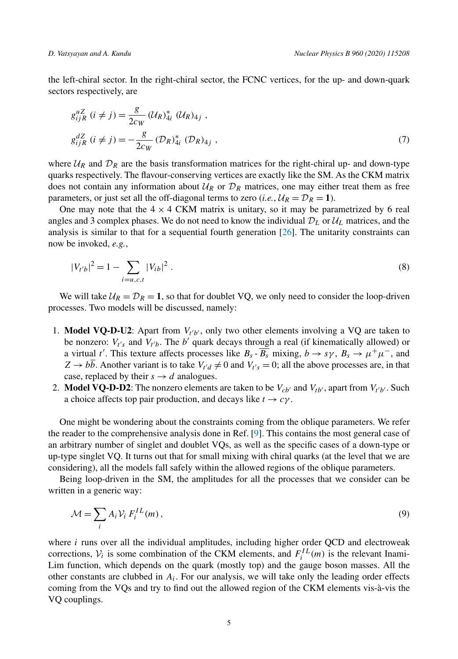the left-chiral sector. In the right-chiral sector, the FCNC vertices, for the up- and down-quark sectors respectively, are

$$
g_{ijR}^{uZ} (i \neq j) = \frac{g}{2c_W} (U_R)_{4i}^* (U_R)_{4j} ,
$$
  
\n
$$
g_{ijR}^{dZ} (i \neq j) = -\frac{g}{2c_W} (D_R)_{4i}^* (D_R)_{4j} ,
$$
\n(7)

where  $U_R$  and  $D_R$  are the basis transformation matrices for the right-chiral up- and down-type quarks respectively. The flavour-conserving vertices are exactly like the SM. As the CKM matrix does not contain any information about  $U_R$  or  $\mathcal{D}_R$  matrices, one may either treat them as free parameters, or just set all the off-diagonal terms to zero (*i.e.*,  $U_R = \mathcal{D}_R = 1$ ).

One may note that the  $4 \times 4$  CKM matrix is unitary, so it may be parametrized by 6 real angles and 3 complex phases. We do not need to know the individual  $\mathcal{D}_L$  or  $\mathcal{U}_L$  matrices, and the analysis is similar to that for a sequential fourth generation [26]. The unitarity constraints can now be invoked, *e.g.*,

$$
|V_{t'b}|^2 = 1 - \sum_{i=u,c,t} |V_{ib}|^2.
$$
 (8)

We will take  $U_R = D_R = 1$ , so that for doublet VQ, we only need to consider the loop-driven processes. Two models will be discussed, namely:

- 1. **Model VQ-D-U2**: Apart from  $V_{t'b'}$ , only two other elements involving a VQ are taken to be nonzero:  $V_{t's}$  and  $V_{t'b}$ . The b' quark decays through a real (if kinematically allowed) or a virtual t'. This texture affects processes like  $B_s - B_s$  mixing,  $b \to s\gamma$ ,  $B_s \to \mu^+\mu^-$ , and  $Z \rightarrow bb$ . Another variant is to take  $V_{t'd} \neq 0$  and  $V_{t's} = 0$ ; all the above processes are, in that case, replaced by their  $s \rightarrow d$  analogues.
- 2. **Model VQ-D-D2**: The nonzero elements are taken to be  $V_{cb'}$  and  $V_{tb'}$ , apart from  $V_{t'b'}$ . Such a choice affects top pair production, and decays like  $t \to c\gamma$ .

One might be wondering about the constraints coming from the oblique parameters. We refer the reader to the comprehensive analysis done in Ref. [9]. This contains the most general case of an arbitrary number of singlet and doublet VQs, as well as the specific cases of a down-type or up-type singlet VQ. It turns out that for small mixing with chiral quarks (at the level that we are considering), all the models fall safely within the allowed regions of the oblique parameters.

Being loop-driven in the SM, the amplitudes for all the processes that we consider can be written in a generic way:

$$
\mathcal{M} = \sum_{i} A_i \mathcal{V}_i \, F_i^{IL}(m) \,,\tag{9}
$$

where *i* runs over all the individual amplitudes, including higher order QCD and electroweak corrections,  $V_i$  is some combination of the CKM elements, and  $F_i^{IL}(m)$  is the relevant Inami-Lim function, which depends on the quark (mostly top) and the gauge boson masses. All the other constants are clubbed in  $A_i$ . For our analysis, we will take only the leading order effects coming from the VQs and try to find out the allowed region of the CKM elements vis-à-vis the VQ couplings.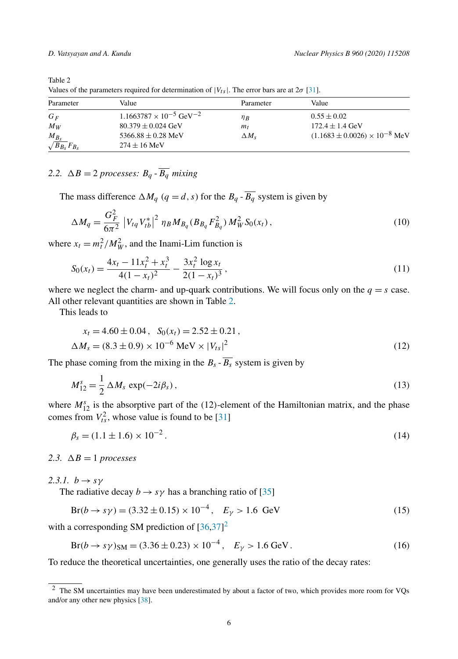Values of the parameters required for determination of  $|V_{ts}|$ . The error bars are at  $2\sigma$  [31].

| Parameter                               | Value                                        | Parameter    | Value                                    |
|-----------------------------------------|----------------------------------------------|--------------|------------------------------------------|
| $G_F$                                   | $1.1663787 \times 10^{-5}$ GeV <sup>-2</sup> | $\eta_B$     | $0.55 \pm 0.02$                          |
| $M_W$                                   | $80.379 \pm 0.024$ GeV                       | $m_t$        | $172.4 \pm 1.4$ GeV                      |
| $\frac{M_{B_s}}{\sqrt{B_{B_s}}F_{B_s}}$ | 5366.88 $\pm$ 0.28 MeV<br>$274 + 16$ MeV     | $\Delta M_s$ | $(1.1683 \pm 0.0026) \times 10^{-8}$ MeV |

## 2.2.  $\Delta B = 2$  *processes:*  $B_q$  -  $B_q$  *mixing*

The mass difference  $\Delta M_q$  ( $q = d, s$ ) for the  $B_q$  -  $B_q$  system is given by

$$
\Delta M_q = \frac{G_F^2}{6\pi^2} \left| V_{tq} V_{tb}^* \right|^2 \eta_B M_{B_q} (B_{B_q} F_{B_q}^2) M_W^2 S_0(x_t) \,, \tag{10}
$$

where  $x_t = m_t^2/M_W^2$ , and the Inami-Lim function is

$$
S_0(x_t) = \frac{4x_t - 11x_t^2 + x_t^3}{4(1 - x_t)^2} - \frac{3x_t^2 \log x_t}{2(1 - x_t)^3},
$$
\n(11)

where we neglect the charm- and up-quark contributions. We will focus only on the  $q = s$  case. All other relevant quantities are shown in Table 2.

This leads to

$$
x_t = 4.60 \pm 0.04, \quad S_0(x_t) = 2.52 \pm 0.21,
$$
  

$$
\Delta M_s = (8.3 \pm 0.9) \times 10^{-6} \text{ MeV} \times |V_{ts}|^2
$$
 (12)

The phase coming from the mixing in the  $B_s - \overline{B_s}$  system is given by

$$
M_{12}^s = \frac{1}{2} \Delta M_s \exp(-2i\beta_s),\tag{13}
$$

where  $M_{12}^s$  is the absorptive part of the (12)-element of the Hamiltonian matrix, and the phase comes from  $V_{ts}^2$ , whose value is found to be [31]

$$
\beta_s = (1.1 \pm 1.6) \times 10^{-2} \,. \tag{14}
$$

2.3.  $\Delta B = 1$  *processes* 

2.3.1.  $b \rightarrow s\gamma$ 

The radiative decay  $b \rightarrow s\gamma$  has a branching ratio of [35]

$$
Br(b \to s\gamma) = (3.32 \pm 0.15) \times 10^{-4}, \quad E_{\gamma} > 1.6 \text{ GeV}
$$
 (15)

with a corresponding SM prediction of  $[36,37]^2$ 

$$
Br(b \to s\gamma)_{SM} = (3.36 \pm 0.23) \times 10^{-4}, \quad E_{\gamma} > 1.6 \text{ GeV}. \tag{16}
$$

To reduce the theoretical uncertainties, one generally uses the ratio of the decay rates:

<sup>&</sup>lt;sup>2</sup> The SM uncertainties may have been underestimated by about a factor of two, which provides more room for VOs and/or any other new physics [38].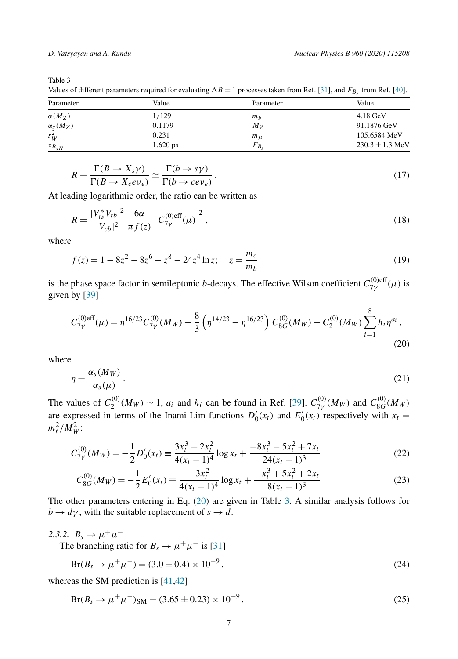Values of different parameters required for evaluating  $\Delta B = 1$  processes taken from Ref. [31], and  $F_{B_s}$  from Ref. [40].

| Parameter           | Value      | Parameter      | Value               |
|---------------------|------------|----------------|---------------------|
| $\alpha(M_Z)$       | 1/129      | m <sub>b</sub> | $4.18 \text{ GeV}$  |
| $\alpha_{s}(M_{Z})$ | 0.1179     | $M_{Z}$        | 91.1876 GeV         |
| $s_W^2$             | 0.231      | $m_{\mu}$      | 105.6584 MeV        |
| $\tau_{B_{sH}}$     | $1.620$ ps | $F_{B_s}$      | $230.3 \pm 1.3$ MeV |

$$
R \equiv \frac{\Gamma(B \to X_s \gamma)}{\Gamma(B \to X_c e \overline{\nu}_e)} \simeq \frac{\Gamma(b \to s \gamma)}{\Gamma(b \to c e \overline{\nu}_e)}.
$$
\n(17)

At leading logarithmic order, the ratio can be written as

$$
R = \frac{|V_{ts}^* V_{tb}|^2}{|V_{cb}|^2} \frac{6\alpha}{\pi f(z)} \left| C_{7\gamma}^{(0)eff}(\mu) \right|^2, \tag{18}
$$

where

$$
f(z) = 1 - 8z^2 - 8z^6 - z^8 - 24z^4 \ln z; \quad z = \frac{m_c}{m_b}
$$
 (19)

is the phase space factor in semileptonic *b*-decays. The effective Wilson coefficient  $C_{7v}^{(0)eff}$  $\frac{7\gamma}{7\gamma}$  ( $\mu$ ) is given by [39]

$$
C_{7\gamma}^{(0)\text{eff}}(\mu) = \eta^{16/23} C_{7\gamma}^{(0)}(M_W) + \frac{8}{3} \left( \eta^{14/23} - \eta^{16/23} \right) C_{8G}^{(0)}(M_W) + C_2^{(0)}(M_W) \sum_{i=1}^{8} h_i \eta^{a_i},\tag{20}
$$

where

$$
\eta = \frac{\alpha_s(M_W)}{\alpha_s(\mu)}\,. \tag{21}
$$

The values of  $C_2^{(0)}$  $2^{(0)}(M_W) \sim 1$ ,  $a_i$  and  $h_i$  can be found in Ref. [39].  $C_{7\gamma}^{(0)}$  $^{(0)}_{7\gamma}(M_W)$  and  $C_{8G}^{(0)}$  $^{(0)}_{8G}(M_W)$ are expressed in terms of the Inami-Lim functions  $D'_0(x_t)$  and  $E'_0(x_t)$  respectively with  $x_t =$  $m_t^2/M_W^2$ :

$$
C_{7\gamma}^{(0)}(M_W) = -\frac{1}{2}D_0'(x_t) \equiv \frac{3x_t^3 - 2x_t^2}{4(x_t - 1)^4} \log x_t + \frac{-8x_t^3 - 5x_t^2 + 7x_t}{24(x_t - 1)^3}
$$
(22)

$$
C_{8G}^{(0)}(M_W) = -\frac{1}{2}E'_0(x_t) \equiv \frac{-3x_t^2}{4(x_t - 1)^4} \log x_t + \frac{-x_t^3 + 5x_t^2 + 2x_t}{8(x_t - 1)^3}
$$
(23)

The other parameters entering in Eq. (20) are given in Table 3. A similar analysis follows for  $b \rightarrow d\gamma$ , with the suitable replacement of  $s \rightarrow d$ .

2.3.2.  $B_s \to \mu^+ \mu^-$ The branching ratio for  $B_s \to \mu^+ \mu^-$  is [31]

$$
Br(B_s \to \mu^+ \mu^-) = (3.0 \pm 0.4) \times 10^{-9},\tag{24}
$$

whereas the SM prediction is [41,42]

$$
Br(B_s \to \mu^+ \mu^-)_{SM} = (3.65 \pm 0.23) \times 10^{-9}.
$$
 (25)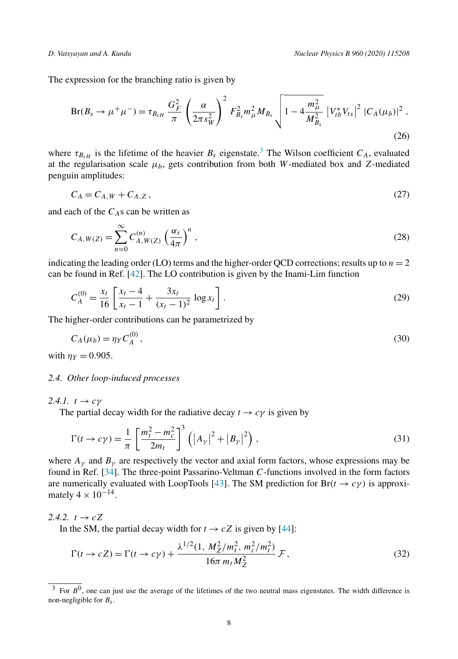The expression for the branching ratio is given by

$$
Br(B_s \to \mu^+ \mu^-) = \tau_{B_{sH}} \frac{G_F^2}{\pi} \left(\frac{\alpha}{2\pi s_W^2}\right)^2 F_{B_s}^2 m_\mu^2 M_{B_s} \sqrt{1 - 4 \frac{m_\mu^2}{M_{B_s}^2}} |V_{tb}^* V_{ts}|^2 |C_A(\mu_b)|^2,
$$
\n(26)

where  $\tau_{B,H}$  is the lifetime of the heavier  $B_s$  eigenstate.<sup>3</sup> The Wilson coefficient  $C_A$ , evaluated at the regularisation scale  $\mu_b$ , gets contribution from both W-mediated box and Z-mediated penguin amplitudes:

$$
C_A = C_{A,W} + C_{A,Z},\tag{27}
$$

and each of the  $C_A$ s can be written as

$$
C_{A,W(Z)} = \sum_{n=0}^{\infty} C_{A,W(Z)}^{(n)} \left(\frac{\alpha_s}{4\pi}\right)^n,
$$
\n(28)

indicating the leading order (LO) terms and the higher-order QCD corrections; results up to  $n = 2$ can be found in Ref. [42]. The LO contribution is given by the Inami-Lim function

$$
C_A^{(0)} = \frac{x_t}{16} \left[ \frac{x_t - 4}{x_t - 1} + \frac{3x_t}{(x_t - 1)^2} \log x_t \right].
$$
 (29)

The higher-order contributions can be parametrized by

$$
C_A(\mu_b) = \eta_Y C_A^{(0)},\tag{30}
$$

with  $\eta_Y = 0.905$ .

#### *2.4. Other loop-induced processes*

2.4.1.  $t \rightarrow c\gamma$ 

The partial decay width for the radiative decay  $t \to c\gamma$  is given by

$$
\Gamma(t \to c\gamma) = \frac{1}{\pi} \left[ \frac{m_t^2 - m_c^2}{2m_t} \right]^3 \left( \left| A_{\gamma} \right|^2 + \left| B_{\gamma} \right|^2 \right),\tag{31}
$$

where  $A_{\gamma}$  and  $B_{\gamma}$  are respectively the vector and axial form factors, whose expressions may be found in Ref. [34]. The three-point Passarino-Veltman C-functions involved in the form factors are numerically evaluated with LoopTools [43]. The SM prediction for  $Br(t \to c\gamma)$  is approximately  $4 \times 10^{-14}$ .

2.4.2.  $t \rightarrow cZ$ 

In the SM, the partial decay width for  $t \to cZ$  is given by [44]:

$$
\Gamma(t \to cZ) = \Gamma(t \to c\gamma) + \frac{\lambda^{1/2}(1, M_Z^2/m_t^2, m_c^2/m_t^2)}{16\pi m_t M_Z^2} \mathcal{F},\tag{32}
$$

<sup>&</sup>lt;sup>3</sup> For  $B^0$ , one can just use the average of the lifetimes of the two neutral mass eigenstates. The width difference is non-negligible for  $B_s$ .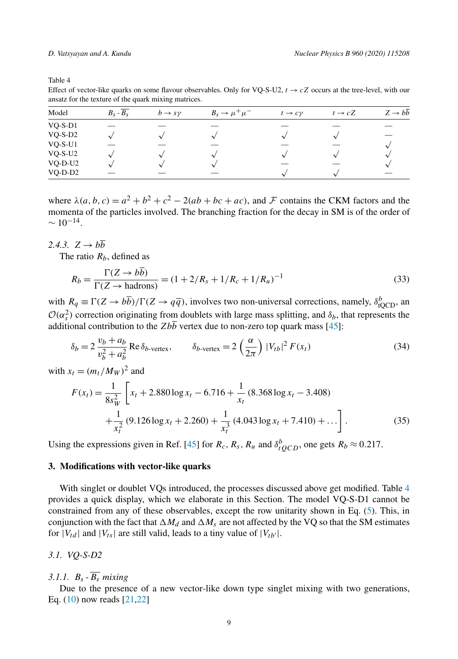Effect of vector-like quarks on some flavour observables. Only for VQ-S-U2,  $t \rightarrow cZ$  occurs at the tree-level, with our ansatz for the texture of the quark mixing matrices.

| Model     | $B_s - \overline{B_s}$ | $b \rightarrow s \nu$ | $B_s \rightarrow \mu^+ \mu^-$ | $t \rightarrow c\gamma$ | $t \rightarrow cZ$ | $Z \rightarrow b\overline{b}$ |
|-----------|------------------------|-----------------------|-------------------------------|-------------------------|--------------------|-------------------------------|
| $VQ-S-D1$ |                        |                       |                               |                         |                    |                               |
| $VQ-S-D2$ |                        |                       |                               |                         |                    |                               |
| $VQ-S-U1$ |                        |                       |                               |                         |                    |                               |
| $VQ-S-U2$ |                        |                       |                               |                         |                    |                               |
| VQ-D-U2   |                        |                       |                               |                         |                    |                               |
| $VQ-D-D2$ |                        |                       |                               | $\Delta$                |                    |                               |

where  $\lambda(a, b, c) = a^2 + b^2 + c^2 - 2(ab + bc + ac)$ , and F contains the CKM factors and the momenta of the particles involved. The branching fraction for the decay in SM is of the order of  $\sim 10^{-14}$ .

2.4.3.  $Z \rightarrow b\overline{b}$ 

The ratio  $R_b$ , defined as

$$
R_b = \frac{\Gamma(Z \to b\overline{b})}{\Gamma(Z \to \text{hadrons})} = (1 + 2/R_s + 1/R_c + 1/R_u)^{-1}
$$
(33)

with  $R_q \equiv \Gamma(Z \to b\overline{b})/\Gamma(Z \to q\overline{q})$ , involves two non-universal corrections, namely,  $\delta_{\text{tQCD}}^b$ , an  $\mathcal{O}(\alpha_s^2)$  correction originating from doublets with large mass splitting, and  $\delta_b$ , that represents the additional contribution to the  $Zb\overline{b}$  vertex due to non-zero top quark mass [45]:

$$
\delta_b = 2 \frac{v_b + a_b}{v_b^2 + a_b^2} \operatorname{Re} \delta_{b\text{-vertex}}, \qquad \delta_{b\text{-vertex}} = 2 \left(\frac{\alpha}{2\pi}\right) |V_{tb}|^2 F(x_t)
$$
\n(34)

with  $x_t = (m_t/M_W)^2$  and

$$
F(x_t) = \frac{1}{8s_W^2} \left[ x_t + 2.880 \log x_t - 6.716 + \frac{1}{x_t} (8.368 \log x_t - 3.408) + \frac{1}{x_t^2} (9.126 \log x_t + 2.260) + \frac{1}{x_t^3} (4.043 \log x_t + 7.410) + \dots \right].
$$
 (35)

Using the expressions given in Ref. [45] for  $R_c$ ,  $R_s$ ,  $R_u$  and  $\delta_{tQCD}^b$ , one gets  $R_b \approx 0.217$ .

#### **3. Modifications with vector-like quarks**

With singlet or doublet VQs introduced, the processes discussed above get modified. Table 4 provides a quick display, which we elaborate in this Section. The model VQ-S-D1 cannot be constrained from any of these observables, except the row unitarity shown in Eq. (5). This, in conjunction with the fact that  $\Delta M_d$  and  $\Delta M_s$  are not affected by the VQ so that the SM estimates for  $|V_{td}|$  and  $|V_{ts}|$  are still valid, leads to a tiny value of  $|V_{tb'}|$ .

*3.1. VQ-S-D2*

3.1.1.  $B_s - \overline{B_s}$  *mixing* 

Due to the presence of a new vector-like down type singlet mixing with two generations, Eq. (10) now reads [21,22]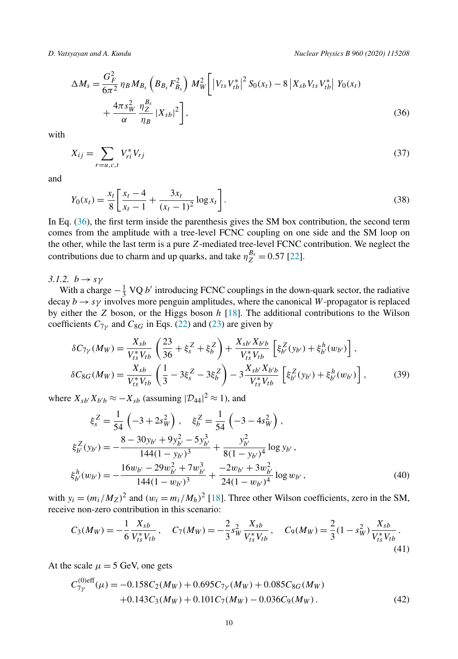$$
\Delta M_s = \frac{G_F^2}{6\pi^2} \eta_B M_{B_s} \left( B_{B_s} F_{B_s}^2 \right) M_W^2 \left[ \left| V_{ts} V_{tb}^* \right|^2 S_0(x_t) - 8 \left| X_{sb} V_{ts} V_{tb}^* \right| Y_0(x_t) + \frac{4\pi s_W^2}{\alpha} \frac{\eta_Z^{B_s}}{\eta_B} |X_{sb}|^2 \right],
$$
\n(36)

with

$$
X_{ij} = \sum_{r=u,c,t} V_{ri}^* V_{rj}
$$
 (37)

and

$$
Y_0(x_t) = \frac{x_t}{8} \left[ \frac{x_t - 4}{x_t - 1} + \frac{3x_t}{(x_t - 1)^2} \log x_t \right].
$$
\n(38)

In Eq. (36), the first term inside the parenthesis gives the SM box contribution, the second term comes from the amplitude with a tree-level FCNC coupling on one side and the SM loop on the other, while the last term is a pure Z-mediated tree-level FCNC contribution. We neglect the contributions due to charm and up quarks, and take  $\eta_Z^{B_s} = 0.57$  [22].

3.1.2.  $b \rightarrow s\gamma$ 

With a charge  $-\frac{1}{3}$  VQ b' introducing FCNC couplings in the down-quark sector, the radiative decay  $b \rightarrow s\gamma$  involves more penguin amplitudes, where the canonical W-propagator is replaced by either the  $Z$  boson, or the Higgs boson  $h$  [18]. The additional contributions to the Wilson coefficients  $C_{7\gamma}$  and  $C_{8G}$  in Eqs. (22) and (23) are given by

$$
\delta C_{7\gamma}(M_W) = \frac{X_{sb}}{V_{ts}^* V_{tb}} \left( \frac{23}{36} + \xi_s^Z + \xi_b^Z \right) + \frac{X_{sb'} X_{b'b}}{V_{ts}^* V_{tb}} \left[ \xi_{b'}^Z(y_{b'}) + \xi_{b'}^h(w_{b'}) \right],
$$
  

$$
\delta C_{8G}(M_W) = \frac{X_{sb}}{V_{ts}^* V_{tb}} \left( \frac{1}{3} - 3\xi_s^Z - 3\xi_b^Z \right) - 3\frac{X_{sb'} X_{b'b}}{V_{ts}^* V_{tb}} \left[ \xi_{b'}^Z(y_{b'}) + \xi_{b'}^h(w_{b'}) \right],
$$
 (39)

where  $X_{sb'}X_{b'b} \approx -X_{sb}$  (assuming  $|\mathcal{D}_{44}|^2 \approx 1$ ), and

$$
\xi_s^Z = \frac{1}{54} \left( -3 + 2s_W^2 \right), \quad \xi_b^Z = \frac{1}{54} \left( -3 - 4s_W^2 \right),
$$
  

$$
\xi_{b'}^Z(y_{b'}) = -\frac{8 - 30y_{b'} + 9y_{b'}^2 - 5y_{b'}^3}{144(1 - y_{b'})^3} + \frac{y_{b'}^2}{8(1 - y_{b'})^4} \log y_{b'},
$$
  

$$
\xi_{b'}^h(w_{b'}) = -\frac{16w_{b'} - 29w_{b'}^2 + 7w_{b'}^3}{144(1 - w_{b'})^3} + \frac{-2w_{b'} + 3w_{b'}^2}{24(1 - w_{b'})^4} \log w_{b'},
$$
 (40)

with  $y_i = (m_i/M_Z)^2$  and  $(w_i = m_i/M_h)^2$  [18]. Three other Wilson coefficients, zero in the SM, receive non-zero contribution in this scenario:

$$
C_3(M_W) = -\frac{1}{6} \frac{X_{sb}}{V_{ts}^* V_{tb}}, \quad C_7(M_W) = -\frac{2}{3} s_W^2 \frac{X_{sb}}{V_{ts}^* V_{tb}}, \quad C_9(M_W) = \frac{2}{3} (1 - s_W^2) \frac{X_{sb}}{V_{ts}^* V_{tb}}.
$$
\n
$$
(41)
$$

At the scale  $\mu = 5$  GeV, one gets

$$
C_{7\gamma}^{(0)\text{eff}}(\mu) = -0.158C_2(M_W) + 0.695C_{7\gamma}(M_W) + 0.085C_{8G}(M_W) + 0.143C_3(M_W) + 0.101C_7(M_W) - 0.036C_9(M_W).
$$
\n(42)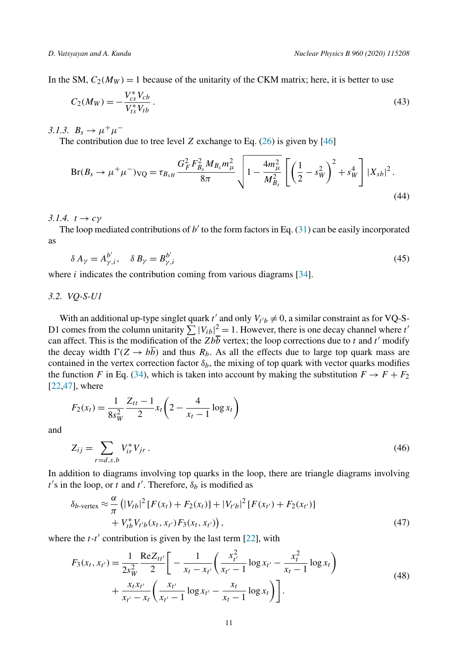In the SM,  $C_2(M_W) = 1$  because of the unitarity of the CKM matrix; here, it is better to use

$$
C_2(M_W) = -\frac{V_{cs}^* V_{cb}}{V_{ts}^* V_{tb}}.
$$
\n(43)

3.1.3.  $B_s \to \mu^+ \mu^-$ 

The contribution due to tree level Z exchange to Eq.  $(26)$  is given by [46]

$$
Br(B_s \to \mu^+ \mu^-)_{\text{VQ}} = \tau_{B_{sH}} \frac{G_F^2 F_{B_s}^2 M_{B_s} m_{\mu}^2}{8\pi} \sqrt{1 - \frac{4m_{\mu}^2}{M_{B_s}^2} \left[ \left( \frac{1}{2} - s_W^2 \right)^2 + s_W^4 \right] |X_{sb}|^2}.
$$
\n
$$
(44)
$$

3.1.4.  $t \rightarrow c\gamma$ 

The loop mediated contributions of  $b'$  to the form factors in Eq. (31) can be easily incorporated as

$$
\delta A_{\gamma} = A_{\gamma,i}^{b'}, \quad \delta B_{\gamma} = B_{\gamma,i}^{b'} \tag{45}
$$

where  $i$  indicates the contribution coming from various diagrams [34].

*3.2. VQ-S-U1*

With an additional up-type singlet quark  $t'$  and only  $V_{t'b} \neq 0$ , a similar constraint as for VQ-S-D1 comes from the column unitarity  $\sum |V_{ib}|^2 = 1$ . However, there is one decay channel where the can affect. This is the modification of the Zbb vertex; the loop corrections due to t and t' modify the decay width  $\Gamma(Z \to b\overline{b})$  and thus  $R_b$ . As all the effects due to large top quark mass are contained in the vertex correction factor  $\delta_b$ , the mixing of top quark with vector quarks modifies the function F in Eq. (34), which is taken into account by making the substitution  $F \to F + F_2$ [22,47], where

$$
F_2(x_t) = \frac{1}{8s_W^2} \frac{Z_{tt} - 1}{2} x_t \left(2 - \frac{4}{x_t - 1} \log x_t\right)
$$

and

$$
Z_{ij} = \sum_{r=d,s,b} V_{ir}^* V_{jr} \,. \tag{46}
$$

In addition to diagrams involving top quarks in the loop, there are triangle diagrams involving  $t'$ s in the loop, or t and t'. Therefore,  $\delta_b$  is modified as

$$
\delta_{b\text{-vertex}} \approx \frac{\alpha}{\pi} \left( |V_{tb}|^2 [F(x_t) + F_2(x_t)] + |V_{t'b}|^2 [F(x_{t'}) + F_2(x_{t'})] + V_{tb}^* V_{t'b}(x_t, x_{t'}) F_3(x_t, x_{t'}) \right),
$$
\n(47)

where the  $t$ - $t'$  contribution is given by the last term [22], with

$$
F_3(x_t, x_{t'}) = \frac{1}{2s_W^2} \frac{\text{Re} Z_{tt'}}{2} \left[ -\frac{1}{x_t - x_{t'}} \left( \frac{x_{t'}^2}{x_{t'} - 1} \log x_{t'} - \frac{x_t^2}{x_{t} - 1} \log x_t \right) + \frac{x_t x_{t'}}{x_{t'} - x_t} \left( \frac{x_{t'}}{x_{t'} - 1} \log x_{t'} - \frac{x_t}{x_{t} - 1} \log x_t \right) \right].
$$
\n(48)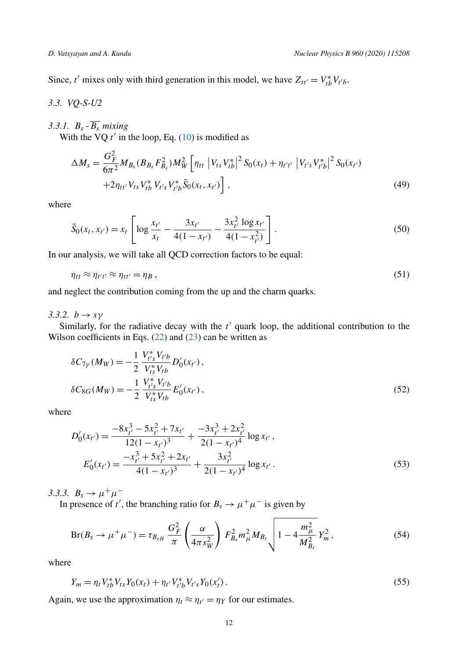Since, t' mixes only with third generation in this model, we have  $Z_{tt'} = V_{tb}^* V_{t'b}$ .

*3.3. VQ-S-U2*

3.3.1.  $B_s$   $\overline{B_s}$  *mixing* 

With the VQ  $t'$  in the loop, Eq. (10) is modified as

$$
\Delta M_{s} = \frac{G_{F}^{2}}{6\pi^{2}} M_{B_{s}} (B_{B_{s}} F_{B_{s}}^{2}) M_{W}^{2} \left[ \eta_{tt} \left| V_{ts} V_{tb}^{*} \right|^{2} S_{0}(x_{t}) + \eta_{t't'} \left| V_{t's} V_{t'b}^{*} \right|^{2} S_{0}(x_{t'}) \right. \\ \left. + 2 \eta_{tt'} V_{ts} V_{tb}^{*} V_{t's} V_{t'b}^{*} \tilde{S}_{0}(x_{t}, x_{t'}) \right], \tag{49}
$$

where

$$
\tilde{S}_0(x_t, x_{t'}) = x_t \left[ \log \frac{x_{t'}}{x_t} - \frac{3x_{t'}}{4(1 - x_{t'})} - \frac{3x_{t'}^2 \log x_{t'}}{4(1 - x_{t'}^2)} \right].
$$
\n
$$
(50)
$$

In our analysis, we will take all QCD correction factors to be equal:

$$
\eta_{tt} \approx \eta_{t't'} \approx \eta_{tt'} = \eta_B , \qquad (51)
$$

and neglect the contribution coming from the up and the charm quarks.

3.3.2.  $b \rightarrow s\gamma$ 

Similarly, for the radiative decay with the  $t'$  quark loop, the additional contribution to the Wilson coefficients in Eqs.  $(22)$  and  $(23)$  can be written as

$$
\delta C_{7\gamma}(M_W) = -\frac{1}{2} \frac{V_{t's}^* V_{t'b}}{V_{ts}^* V_{tb}} D'_0(x_{t'}),
$$
  

$$
\delta C_{8G}(M_W) = -\frac{1}{2} \frac{V_{t's}^* V_{t'b}}{V_{ts}^* V_{tb}} E'_0(x_{t'}),
$$
 (52)

where

$$
D'_{0}(x_{t'}) = \frac{-8x_{t'}^{3} - 5x_{t'}^{2} + 7x_{t'}}{12(1 - x_{t'})^{3}} + \frac{-3x_{t'}^{3} + 2x_{t'}^{2}}{2(1 - x_{t'})^{4}} \log x_{t'},
$$
  
\n
$$
E'_{0}(x_{t'}) = \frac{-x_{t'}^{3} + 5x_{t'}^{2} + 2x_{t'}}{4(1 - x_{t'})^{3}} + \frac{3x_{t'}^{2}}{2(1 - x_{t'})^{4}} \log x_{t'}.
$$
\n(53)

3.3.3.  $B_s \to \mu^+ \mu^-$ 

In presence of t', the branching ratio for  $B_s \to \mu^+ \mu^-$  is given by

$$
Br(B_s \to \mu^+ \mu^-) = \tau_{B_s} \frac{G_F^2}{\pi} \left(\frac{\alpha}{4\pi s_W^2}\right) F_{B_s}^2 m_\mu^2 M_{B_s} \sqrt{1 - 4\frac{m_\mu^2}{M_{B_s}^2}} Y_m^2, \tag{54}
$$

where

$$
Y_m = \eta_t V_{tb}^* V_{ts} Y_0(x_t) + \eta_{t'} V_{t'b}^* V_{t's} Y_0(x_t').
$$
\n(55)

Again, we use the approximation  $\eta_t \approx \eta_{t'} = \eta_Y$  for our estimates.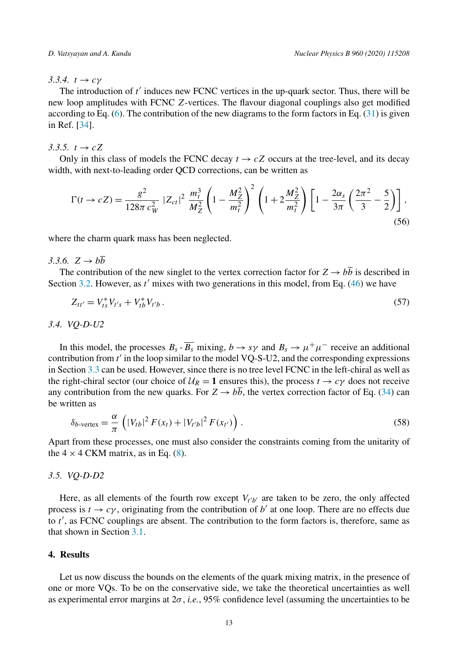#### 3.3.4.  $t \rightarrow c\gamma$

The introduction of t' induces new FCNC vertices in the up-quark sector. Thus, there will be new loop amplitudes with FCNC Z-vertices. The flavour diagonal couplings also get modified according to Eq.  $(6)$ . The contribution of the new diagrams to the form factors in Eq.  $(31)$  is given in Ref. [34].

#### 3.3.5.  $t \to cZ$

Only in this class of models the FCNC decay  $t \to cZ$  occurs at the tree-level, and its decay width, with next-to-leading order QCD corrections, can be written as

$$
\Gamma(t \to cZ) = \frac{g^2}{128\pi c_W^2} |Z_{ct}|^2 \frac{m_t^3}{M_Z^2} \left(1 - \frac{M_Z^2}{m_t^2}\right)^2 \left(1 + 2\frac{M_Z^2}{m_t^2}\right) \left[1 - \frac{2\alpha_s}{3\pi} \left(\frac{2\pi^2}{3} - \frac{5}{2}\right)\right],
$$
\n(56)

where the charm quark mass has been neglected.

### 3.3.6.  $Z \rightarrow b\overline{b}$

The contribution of the new singlet to the vertex correction factor for  $Z \rightarrow b\overline{b}$  is described in Section 3.2. However, as  $t'$  mixes with two generations in this model, from Eq. (46) we have

$$
Z_{tt'} = V_{ts}^* V_{t's} + V_{tb}^* V_{t'b} \,. \tag{57}
$$

#### *3.4. VQ-D-U2*

In this model, the processes  $B_s - B_s$  mixing,  $b \to s\gamma$  and  $B_s \to \mu^+\mu^-$  receive an additional contribution from t ′ in the loop similar to the model VQ-S-U2, and the corresponding expressions in Section 3.3 can be used. However, since there is no tree level FCNC in the left-chiral as well as the right-chiral sector (our choice of  $U_R = 1$  ensures this), the process  $t \to c\gamma$  does not receive any contribution from the new quarks. For  $Z \rightarrow b\overline{b}$ , the vertex correction factor of Eq. (34) can be written as

$$
\delta_{b\text{-vertex}} = \frac{\alpha}{\pi} \left( |V_{tb}|^2 F(x_t) + |V_{t'b}|^2 F(x_{t'}) \right). \tag{58}
$$

Apart from these processes, one must also consider the constraints coming from the unitarity of the  $4 \times 4$  CKM matrix, as in Eq. (8).

#### *3.5. VQ-D-D2*

Here, as all elements of the fourth row except  $V_{t'b'}$  are taken to be zero, the only affected process is  $t \to c\gamma$ , originating from the contribution of b' at one loop. There are no effects due to t', as FCNC couplings are absent. The contribution to the form factors is, therefore, same as that shown in Section 3.1.

#### **4. Results**

Let us now discuss the bounds on the elements of the quark mixing matrix, in the presence of one or more VQs. To be on the conservative side, we take the theoretical uncertainties as well as experimental error margins at 2σ , *i.e.*, 95% confidence level (assuming the uncertainties to be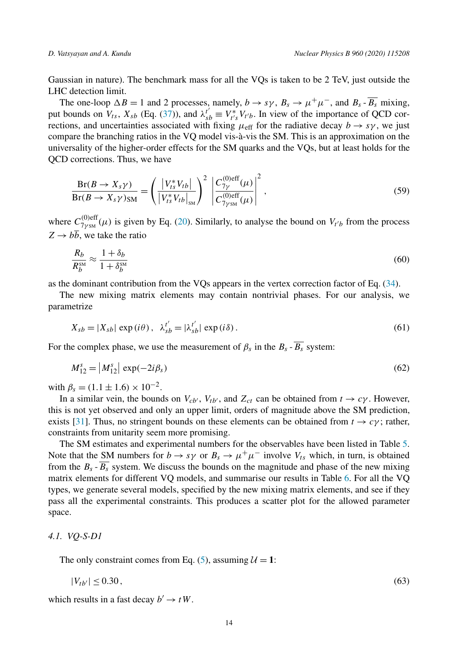Gaussian in nature). The benchmark mass for all the VQs is taken to be 2 TeV, just outside the LHC detection limit.

The one-loop  $\Delta B = 1$  and 2 processes, namely,  $b \to s\gamma$ ,  $B_s \to \mu^+\mu^-$ , and  $B_s - B_s$  mixing, put bounds on  $V_{ts}$ ,  $X_{sb}$  (Eq. (37)), and  $\lambda_{sb}^{t'} \equiv V_{t's}^{*} V_{t'b}$ . In view of the importance of QCD corrections, and uncertainties associated with fixing  $\mu_{\text{eff}}$  for the radiative decay  $b \rightarrow s\gamma$ , we just compare the branching ratios in the VQ model vis-à-vis the SM. This is an approximation on the universality of the higher-order effects for the SM quarks and the VQs, but at least holds for the QCD corrections. Thus, we have

$$
\frac{\text{Br}(B \to X_s \gamma)}{\text{Br}(B \to X_s \gamma)_{\text{SM}}} = \left(\frac{|V_{ts}^* V_{tb}|}{|V_{ts}^* V_{tb}|_{\text{SM}}}\right)^2 \left|\frac{C_{7\gamma}^{(0)\text{eff}}(\mu)}{C_{7\gamma_{\text{SM}}}^{(0)\text{eff}}(\mu)}\right|^2, \tag{59}
$$

where  $C_{7\gamma_{SM}}^{(0)eff}(\mu)$  is given by Eq. (20). Similarly, to analyse the bound on  $V_{t'b}$  from the process  $Z \rightarrow b\overline{b}$ , we take the ratio

$$
\frac{R_b}{R_b^{\rm SM}} \approx \frac{1 + \delta_b}{1 + \delta_b^{\rm SM}}\tag{60}
$$

as the dominant contribution from the VQs appears in the vertex correction factor of Eq. (34).

The new mixing matrix elements may contain nontrivial phases. For our analysis, we parametrize

$$
X_{sb} = |X_{sb}| \exp(i\theta), \quad \lambda_{sb}^{t'} = |\lambda_{sb}^{t'}| \exp(i\delta).
$$
 (61)

For the complex phase, we use the measurement of  $\beta_s$  in the  $B_s$  -  $B_s$  system:

$$
M_{12}^s = |M_{12}^s| \exp(-2i\beta_s)
$$
 (62)

with  $\beta_s = (1.1 \pm 1.6) \times 10^{-2}$ .

In a similar vein, the bounds on  $V_{cb'}$ ,  $V_{tb'}$ , and  $Z_{ct}$  can be obtained from  $t \to c\gamma$ . However, this is not yet observed and only an upper limit, orders of magnitude above the SM prediction, exists [31]. Thus, no stringent bounds on these elements can be obtained from  $t \to c\gamma$ ; rather, constraints from unitarity seem more promising.

The SM estimates and experimental numbers for the observables have been listed in Table 5. Note that the SM numbers for  $b \to s\gamma$  or  $B_s \to \mu^+\mu^-$  involve  $V_{ts}$  which, in turn, is obtained from the  $B_s - \overline{B_s}$  system. We discuss the bounds on the magnitude and phase of the new mixing matrix elements for different VQ models, and summarise our results in Table 6. For all the VQ types, we generate several models, specified by the new mixing matrix elements, and see if they pass all the experimental constraints. This produces a scatter plot for the allowed parameter space.

*4.1. VQ-S-D1*

The only constraint comes from Eq. (5), assuming  $U = 1$ :

$$
|V_{tb'}| \le 0.30\,,\tag{63}
$$

which results in a fast decay  $b' \rightarrow tW$ .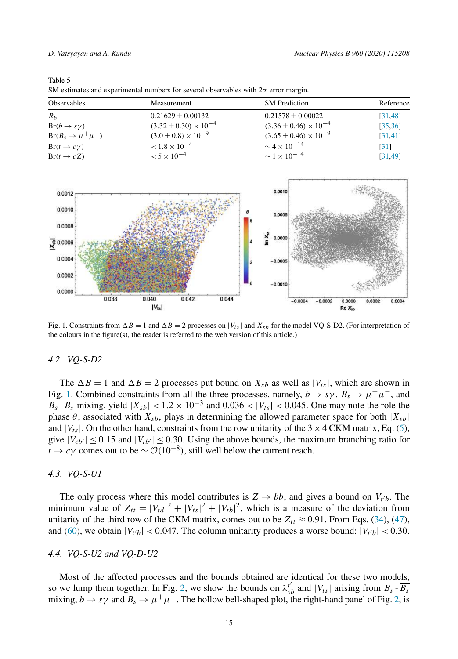| M.<br>٧<br>۹<br>×<br>٠ |  |
|------------------------|--|
|------------------------|--|

SM estimates and experimental numbers for several observables with  $2\sigma$  error margin.

| <b>Observables</b>          | <b>Measurement</b>               | <b>SM</b> Prediction             | Reference |
|-----------------------------|----------------------------------|----------------------------------|-----------|
| $R_h$                       | $0.21629 \pm 0.00132$            | $0.21578 \pm 0.00022$            | [31, 48]  |
| $Br(b \rightarrow s\gamma)$ | $(3.32 \pm 0.30) \times 10^{-4}$ | $(3.36 \pm 0.46) \times 10^{-4}$ | [35, 36]  |
| $Br(B_s \to \mu^+ \mu^-)$   | $(3.0 \pm 0.8) \times 10^{-9}$   | $(3.65 \pm 0.46) \times 10^{-9}$ | [31, 41]  |
| $Br(t\to c\gamma)$          | $< 1.8 \times 10^{-4}$           | $\sim 4 \times 10^{-14}$         | [31]      |
| $Br(t \rightarrow cZ)$      | $< 5 \times 10^{-4}$             | $\sim 1 \times 10^{-14}$         | [31, 49]  |



Fig. 1. Constraints from  $\Delta B = 1$  and  $\Delta B = 2$  processes on  $|V_{ts}|$  and  $X_{sb}$  for the model VQ-S-D2. (For interpretation of the colours in the figure(s), the reader is referred to the web version of this article.)

#### *4.2. VQ-S-D2*

The  $\Delta B = 1$  and  $\Delta B = 2$  processes put bound on  $X_{sb}$  as well as  $|V_{ts}|$ , which are shown in Fig. 1. Combined constraints from all the three processes, namely,  $b \to s\gamma$ ,  $B_s \to \mu^+\mu^-$ , and  $B_s - \overline{B_s}$  mixing, yield  $|X_{sb}| < 1.2 \times 10^{-3}$  and  $0.036 < |V_{ts}| < 0.045$ . One may note the role the phase  $\theta$ , associated with  $X_{sb}$ , plays in determining the allowed parameter space for both  $|X_{sb}|$ and  $|V_{ts}|$ . On the other hand, constraints from the row unitarity of the 3  $\times$  4 CKM matrix, Eq. (5), give  $|V_{cb'}| \le 0.15$  and  $|V_{tb'}| \le 0.30$ . Using the above bounds, the maximum branching ratio for  $t \to c\gamma$  comes out to be  $\sim \mathcal{O}(10^{-8})$ , still well below the current reach.

#### *4.3. VQ-S-U1*

The only process where this model contributes is  $Z \rightarrow bb$ , and gives a bound on  $V_t$ , The minimum value of  $Z_{tt} = |V_{td}|^2 + |V_{ts}|^2 + |V_{tb}|^2$ , which is a measure of the deviation from unitarity of the third row of the CKM matrix, comes out to be  $Z_{tt} \approx 0.91$ . From Eqs. (34), (47), and (60), we obtain  $|V_{t'b}| < 0.047$ . The column unitarity produces a worse bound:  $|V_{t'b}| < 0.30$ .

#### *4.4. VQ-S-U2 and VQ-D-U2*

Most of the affected processes and the bounds obtained are identical for these two models, so we lump them together. In Fig. 2, we show the bounds on  $\lambda_{sb}^{t'}$  and  $|V_{ts}|$  arising from  $B_s$  -  $\overline{B_s}$ mixing,  $b \to s\gamma$  and  $B_s \to \mu^+\mu^-$ . The hollow bell-shaped plot, the right-hand panel of Fig. 2, is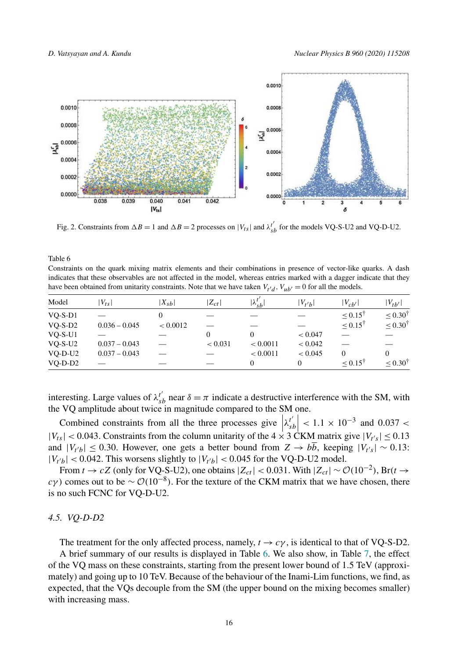

Fig. 2. Constraints from  $\Delta B = 1$  and  $\Delta B = 2$  processes on  $|V_{ts}|$  and  $\lambda_{sb}^{t'}$  for the models VQ-S-U2 and VQ-D-U2.

Constraints on the quark mixing matrix elements and their combinations in presence of vector-like quarks. A dash indicates that these observables are not affected in the model, whereas entries marked with a dagger indicate that they have been obtained from unitarity constraints. Note that we have taken  $V_{t'd}$ ,  $V_{ub'} = 0$  for all the models.

| Model     | $V_{ts}$        | $ X_{sh} $ | $Z_{ct}$ | $ \lambda_{sb}^{t'} $ | $V_{t'b}$ | $ V_{cb'} $           | $ V_{tb'} $           |
|-----------|-----------------|------------|----------|-----------------------|-----------|-----------------------|-----------------------|
| $VO-S-D1$ |                 |            |          |                       |           | $\leq 0.15^{\dagger}$ | $\leq 0.30^{\dagger}$ |
| $VO-S-D2$ | $0.036 - 0.045$ | < 0.0012   |          |                       |           | $\leq 0.15^{\dagger}$ | $\leq 0.30^{\dagger}$ |
| $VO-S-U1$ |                 |            | 0        | 0                     | < 0.047   |                       |                       |
| $VO-S-U2$ | $0.037 - 0.043$ |            | < 0.031  | < 0.0011              | < 0.042   |                       |                       |
| $VO-D-U2$ | $0.037 - 0.043$ |            |          | < 0.0011              | < 0.045   |                       | 0                     |
| $VO-D-D2$ |                 |            |          | 0                     | 0         | ${}_{\leq 0.15^{T}}$  | $\leq 0.30^{\dagger}$ |

interesting. Large values of  $\lambda_{sb}^{t'}$  near  $\delta = \pi$  indicate a destructive interference with the SM, with the VQ amplitude about twice in magnitude compared to the SM one.

Combined constraints from all the three processes give  $\left|\lambda_{sb}^{t'}\right|$  < 1.1 × 10<sup>-3</sup> and 0.037 <  $|V_{ts}| < 0.043$ . Constraints from the column unitarity of the  $4 \times 3$  CKM matrix give  $|V_{t's}| \le 0.13$ and  $|V_{t'b}| \le 0.30$ . However, one gets a better bound from  $Z \to bb$ , keeping  $|V_{t's}| \sim 0.13$ :  $|V_{t'b}| < 0.042$ . This worsens slightly to  $|V_{t'b}| < 0.045$  for the VQ-D-U2 model.

From  $t \to cZ$  (only for VQ-S-U2), one obtains  $|Z_{ct}| < 0.031$ . With  $|Z_{ct}| \sim \mathcal{O}(10^{-2})$ , Br( $t \to cZ$ )  $c\gamma$ ) comes out to be ~  $\mathcal{O}(10^{-8})$ . For the texture of the CKM matrix that we have chosen, there is no such FCNC for VQ-D-U2.

#### *4.5. VQ-D-D2*

The treatment for the only affected process, namely,  $t \rightarrow c\gamma$ , is identical to that of VQ-S-D2.

A brief summary of our results is displayed in Table 6. We also show, in Table 7, the effect of the VQ mass on these constraints, starting from the present lower bound of 1.5 TeV (approximately) and going up to 10 TeV. Because of the behaviour of the Inami-Lim functions, we find, as expected, that the VQs decouple from the SM (the upper bound on the mixing becomes smaller) with increasing mass.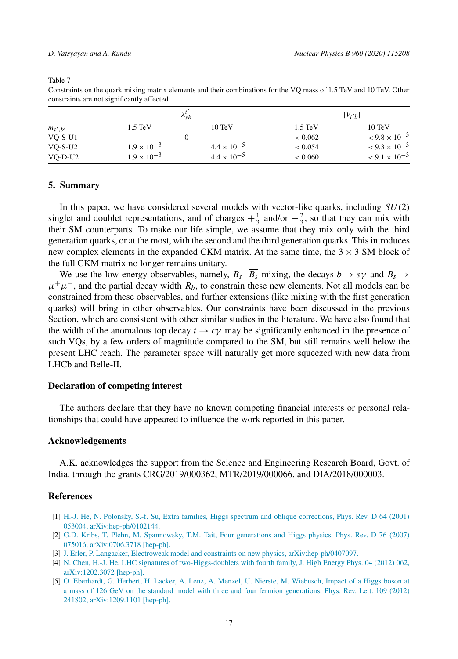|             |                      | $\lambda_{sh}^{t'}$  |                   | $ V_{t'b} $            |
|-------------|----------------------|----------------------|-------------------|------------------------|
| $m_{t',b'}$ | $1.5 \text{ TeV}$    | $10 \text{ TeV}$     | $1.5 \text{ TeV}$ | $10 \text{ TeV}$       |
| $VO-S-U1$   |                      | $\epsilon$           | < 0.062           | $< 9.8 \times 10^{-3}$ |
| $VO-S-U2$   | $1.9 \times 10^{-3}$ | $4.4 \times 10^{-5}$ | < 0.054           | $< 9.3 \times 10^{-3}$ |
| $VO-D-U2$   | $1.9 \times 10^{-3}$ | $4.4 \times 10^{-5}$ | < 0.060           | $< 9.1 \times 10^{-3}$ |

Constraints on the quark mixing matrix elements and their combinations for the VQ mass of 1.5 TeV and 10 TeV. Other constraints are not significantly affected.

#### **5. Summary**

In this paper, we have considered several models with vector-like quarks, including  $SU(2)$ singlet and doublet representations, and of charges  $+\frac{1}{3}$  and/or  $-\frac{2}{3}$ , so that they can mix with their SM counterparts. To make our life simple, we assume that they mix only with the third generation quarks, or at the most, with the second and the third generation quarks. Thisintroduces new complex elements in the expanded CKM matrix. At the same time, the  $3 \times 3$  SM block of the full CKM matrix no longer remains unitary.

We use the low-energy observables, namely,  $B_s - \overline{B_s}$  mixing, the decays  $b \to s\gamma$  and  $B_s \to s\gamma$  $\mu^+\mu^-$ , and the partial decay width  $R_b$ , to constrain these new elements. Not all models can be constrained from these observables, and further extensions (like mixing with the first generation quarks) will bring in other observables. Our constraints have been discussed in the previous Section, which are consistent with other similar studies in the literature. We have also found that the width of the anomalous top decay  $t \to c\gamma$  may be significantly enhanced in the presence of such VQs, by a few orders of magnitude compared to the SM, but still remains well below the present LHC reach. The parameter space will naturally get more squeezed with new data from LHCb and Belle-II.

#### **Declaration of competing interest**

The authors declare that they have no known competing financial interests or personal relationships that could have appeared to influence the work reported in this paper.

#### **Acknowledgements**

A.K. acknowledges the support from the Science and Engineering Research Board, Govt. of India, through the grants CRG/2019/000362, MTR/2019/000066, and DIA/2018/000003.

#### **References**

- [1] H.-J. He, N. Polonsky, S.-f. Su, Extra families, Higgs spectrum and oblique corrections, Phys. Rev. D 64 (2001) 053004, arXiv:hep-ph/0102144.
- [2] G.D. Kribs, T. Plehn, M. Spannowsky, T.M. Tait, Four generations and Higgs physics, Phys. Rev. D 76 (2007) 075016, arXiv:0706.3718 [hep-ph].
- [3] J. Erler, P. Langacker, Electroweak model and constraints on new physics, arXiv:hep-ph/0407097.
- [4] N. Chen, H.-J. He, LHC signatures of two-Higgs-doublets with fourth family, J. High Energy Phys. 04 (2012) 062, arXiv:1202.3072 [hep-ph].
- [5] O. Eberhardt, G. Herbert, H. Lacker, A. Lenz, A. Menzel, U. Nierste, M. Wiebusch, Impact of a Higgs boson at a mass of 126 GeV on the standard model with three and four fermion generations, Phys. Rev. Lett. 109 (2012) 241802, arXiv:1209.1101 [hep-ph].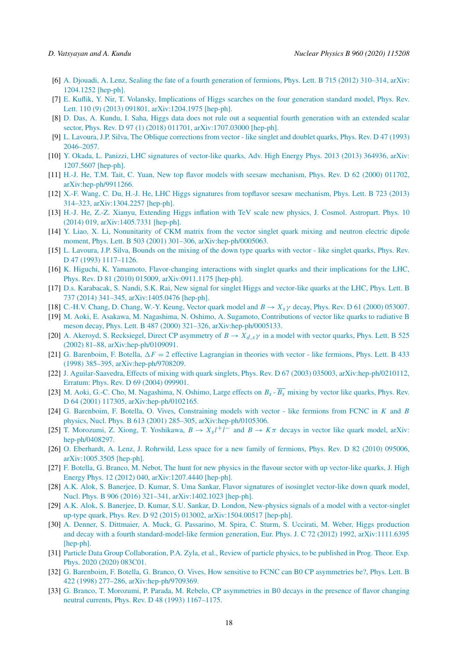- [6] A. Djouadi, A. Lenz, Sealing the fate of a fourth generation of fermions, Phys. Lett. B 715 (2012) 310–314, arXiv: 1204.1252 [hep-ph].
- [7] E. Kuflik, Y. Nir, T. Volansky, Implications of Higgs searches on the four generation standard model, Phys. Rev. Lett. 110 (9) (2013) 091801, arXiv:1204.1975 [hep-ph].
- [8] D. Das, A. Kundu, I. Saha, Higgs data does not rule out a sequential fourth generation with an extended scalar sector, Phys. Rev. D 97 (1) (2018) 011701, arXiv:1707.03000 [hep-ph].
- [9] L. Lavoura, J.P. Silva, The Oblique corrections from vector like singlet and doublet quarks, Phys. Rev. D 47 (1993) 2046–2057.
- [10] Y. Okada, L. Panizzi, LHC signatures of vector-like quarks, Adv. High Energy Phys. 2013 (2013) 364936, arXiv: 1207.5607 [hep-ph].
- [11] H.-J. He, T.M. Tait, C. Yuan, New top flavor models with seesaw mechanism, Phys. Rev. D 62 (2000) 011702, arXiv:hep-ph/9911266.
- [12] X.-F. Wang, C. Du, H.-J. He, LHC Higgs signatures from topflavor seesaw mechanism, Phys. Lett. B 723 (2013) 314–323, arXiv:1304.2257 [hep-ph].
- [13] H.-J. He, Z.-Z. Xianyu, Extending Higgs inflation with TeV scale new physics, J. Cosmol. Astropart. Phys. 10 (2014) 019, arXiv:1405.7331 [hep-ph].
- [14] Y. Liao, X. Li, Nonunitarity of CKM matrix from the vector singlet quark mixing and neutron electric dipole moment, Phys. Lett. B 503 (2001) 301–306, arXiv:hep-ph/0005063.
- [15] L. Lavoura, J.P. Silva, Bounds on the mixing of the down type quarks with vector like singlet quarks, Phys. Rev. D 47 (1993) 1117–1126.
- [16] K. Higuchi, K. Yamamoto, Flavor-changing interactions with singlet quarks and their implications for the LHC, Phys. Rev. D 81 (2010) 015009, arXiv:0911.1175 [hep-ph].
- [17] D.s. Karabacak, S. Nandi, S.K. Rai, New signal for singlet Higgs and vector-like quarks at the LHC, Phys. Lett. B 737 (2014) 341–345, arXiv:1405.0476 [hep-ph].
- [18] C.-H.V. Chang, D. Chang, W.-Y. Keung, Vector quark model and  $B \to X_s \gamma$  decay, Phys. Rev. D 61 (2000) 053007.
- [19] M. Aoki, E. Asakawa, M. Nagashima, N. Oshimo, A. Sugamoto, Contributions of vector like quarks to radiative B meson decay, Phys. Lett. B 487 (2000) 321–326, arXiv:hep-ph/0005133.
- [20] A. Akeroyd, S. Recksiegel, Direct CP asymmetry of  $B \to X_{d,s} \gamma$  in a model with vector quarks, Phys. Lett. B 525 (2002) 81–88, arXiv:hep-ph/0109091.
- [21] G. Barenboim, F. Botella,  $\Delta F = 2$  effective Lagrangian in theories with vector like fermions, Phys. Lett. B 433 (1998) 385–395, arXiv:hep-ph/9708209.
- [22] J. Aguilar-Saavedra, Effects of mixing with quark singlets, Phys. Rev. D 67 (2003) 035003, arXiv:hep-ph/0210112, Erratum: Phys. Rev. D 69 (2004) 099901.
- [23] M. Aoki, G.-C. Cho, M. Nagashima, N. Oshimo, Large effects on  $B_s \overline{B_s}$  mixing by vector like quarks, Phys. Rev. D 64 (2001) 117305, arXiv:hep-ph/0102165.
- [24] G. Barenboim, F. Botella, O. Vives, Constraining models with vector like fermions from FCNC in K and B physics, Nucl. Phys. B 613 (2001) 285–305, arXiv:hep-ph/0105306.
- [25] T. Morozumi, Z. Xiong, T. Yoshikawa,  $B \to X_s l^+ l^-$  and  $B \to K \pi$  decays in vector like quark model, arXiv: hep-ph/0408297.
- [26] O. Eberhardt, A. Lenz, J. Rohrwild, Less space for a new family of fermions, Phys. Rev. D 82 (2010) 095006, arXiv:1005.3505 [hep-ph].
- [27] F. Botella, G. Branco, M. Nebot, The hunt for new physics in the flavour sector with up vector-like quarks, J. High Energy Phys. 12 (2012) 040, arXiv:1207.4440 [hep-ph].
- [28] A.K. Alok, S. Banerjee, D. Kumar, S. Uma Sankar, Flavor signatures of isosinglet vector-like down quark model, Nucl. Phys. B 906 (2016) 321–341, arXiv:1402.1023 [hep-ph].
- [29] A.K. Alok, S. Banerjee, D. Kumar, S.U. Sankar, D. London, New-physics signals of a model with a vector-singlet up-type quark, Phys. Rev. D 92 (2015) 013002, arXiv:1504.00517 [hep-ph].
- [30] A. Denner, S. Dittmaier, A. Muck, G. Passarino, M. Spira, C. Sturm, S. Uccirati, M. Weber, Higgs production and decay with a fourth standard-model-like fermion generation, Eur. Phys. J. C 72 (2012) 1992, arXiv:1111.6395 [hep-ph].
- [31] Particle Data Group Collaboration, P.A. Zyla, et al., Review of particle physics, to be published in Prog. Theor. Exp. Phys. 2020 (2020) 083C01.
- [32] G. Barenboim, F. Botella, G. Branco, O. Vives, How sensitive to FCNC can B0 CP asymmetries be?, Phys. Lett. B 422 (1998) 277–286, arXiv:hep-ph/9709369.
- [33] G. Branco, T. Morozumi, P. Parada, M. Rebelo, CP asymmetries in B0 decays in the presence of flavor changing neutral currents, Phys. Rev. D 48 (1993) 1167–1175.